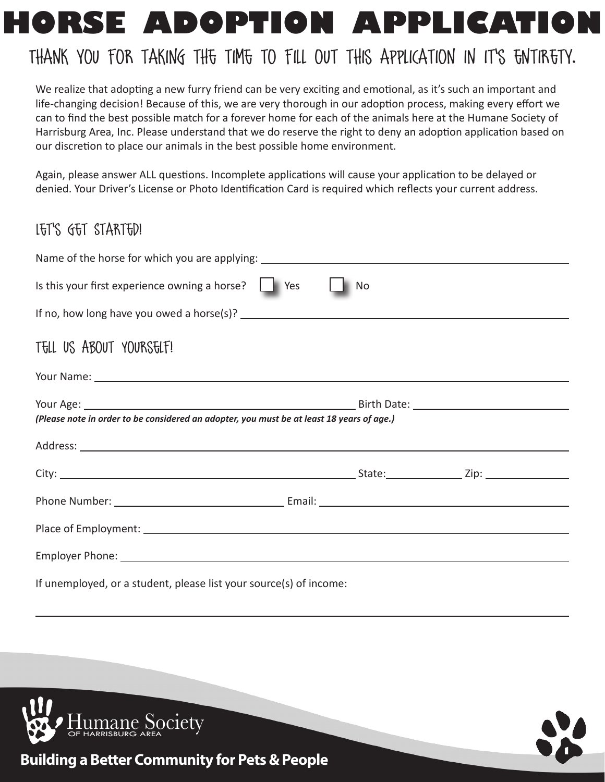# **HORSE ADOPTION APPLICATION**

## Thank you for taking the time to fill out this application in it's entirety.

We realize that adopting a new furry friend can be very exciting and emotional, as it's such an important and life-changing decision! Because of this, we are very thorough in our adoption process, making every effort we can to find the best possible match for a forever home for each of the animals here at the Humane Society of Harrisburg Area, Inc. Please understand that we do reserve the right to deny an adoption application based on our discretion to place our animals in the best possible home environment.

Again, please answer ALL questions. Incomplete applications will cause your application to be delayed or denied. Your Driver's License or Photo Identification Card is required which reflects your current address.

## Let's Get Started!

| Name of the horse for which you are applying: ___________________________________         |                   |
|-------------------------------------------------------------------------------------------|-------------------|
| Is this your first experience owning a horse?   Yes                                       | $\blacksquare$ No |
|                                                                                           |                   |
| TELL US ABOUT YOURSELF!                                                                   |                   |
|                                                                                           |                   |
| (Please note in order to be considered an adopter, you must be at least 18 years of age.) |                   |
|                                                                                           |                   |
|                                                                                           |                   |
|                                                                                           |                   |
|                                                                                           |                   |
|                                                                                           |                   |
| If unemployed, or a student, please list your source(s) of income:                        |                   |



 $\overline{a}$ 



**Building a Better Community for Pets & People**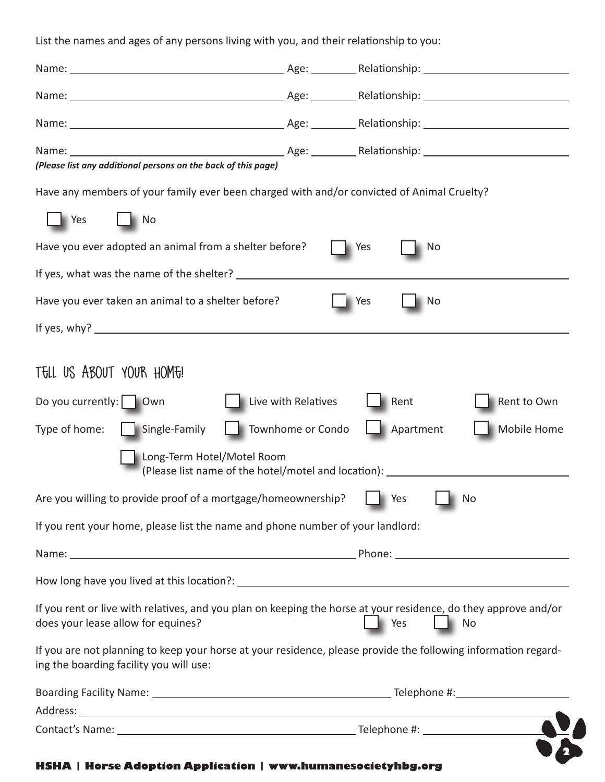List the names and ages of any persons living with you, and their relationship to you: Name: Age: Relationship: Name: Age: Relationship: Name: Age: Relationship: Name: Age: Relationship: *(Please list any additional persons on the back of this page)* Have any members of your family ever been charged with and/or convicted of Animal Cruelty? Yes I No Have you ever adopted an animal from a shelter before?  $\Box$  Yes  $\Box$  No If yes, what was the name of the shelter? Have you ever taken an animal to a shelter before? Yes No If yes, why? TELL US ABOUT YOUR HOME! Do you currently:  $\Box$  Own  $\Box$  Live with Relatives  $\Box$  Rent  $\Box$  Rent to Own Type of home: Single-Family Townhome or Condo Apartment Mobile Home Long-Term Hotel/Motel Room (Please list name of the hotel/motel and location): Are you willing to provide proof of a mortgage/homeownership?  $\|\cdot\|$  Yes  $\|\cdot\|$  No If you rent your home, please list the name and phone number of your landlord: Name: The property of the contract of the contract of the phone:  $\blacksquare$ How long have you lived at this location?: If you rent or live with relatives, and you plan on keeping the horse at your residence, do they approve and/or does your lease allow for equines? Yes No If you are not planning to keep your horse at your residence, please provide the following information regarding the boarding facility you will use: Boarding Facility Name: Telephone #: Address: Contact's Name: Telephone #:

#### **HSHA | Horse Adoption Application | www.humanesocietyhbg.org**

**2**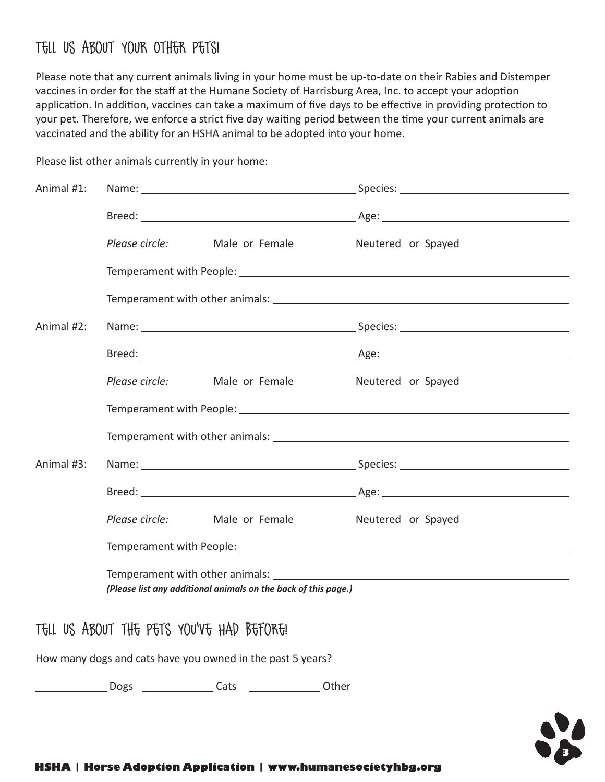### Tell Us About Your Other Pets!

Please note that any current animals living in your home must be up-to-date on their Rabies and Distemper vaccines in order for the staff at the Humane Society of Harrisburg Area, Inc. to accept your adoption application. In addition, vaccines can take a maximum of five days to be effective in providing protection to your pet. Therefore, we enforce a strict five day waiting period between the time your current animals are vaccinated and the ability for an HSHA animal to be adopted into your home.

| Animal #1: |                                                                                                                                                                                                                                                                                                 |  |  |  |  |
|------------|-------------------------------------------------------------------------------------------------------------------------------------------------------------------------------------------------------------------------------------------------------------------------------------------------|--|--|--|--|
|            |                                                                                                                                                                                                                                                                                                 |  |  |  |  |
|            | Please circle: Male or Female Meutered or Spayed                                                                                                                                                                                                                                                |  |  |  |  |
|            |                                                                                                                                                                                                                                                                                                 |  |  |  |  |
|            |                                                                                                                                                                                                                                                                                                 |  |  |  |  |
| Animal #2: |                                                                                                                                                                                                                                                                                                 |  |  |  |  |
|            |                                                                                                                                                                                                                                                                                                 |  |  |  |  |
|            | Please circle: Male or Female Meutered or Spayed                                                                                                                                                                                                                                                |  |  |  |  |
|            |                                                                                                                                                                                                                                                                                                 |  |  |  |  |
|            |                                                                                                                                                                                                                                                                                                 |  |  |  |  |
| Animal #3: |                                                                                                                                                                                                                                                                                                 |  |  |  |  |
|            |                                                                                                                                                                                                                                                                                                 |  |  |  |  |
|            | Please circle: Male or Female Meutered or Spayed                                                                                                                                                                                                                                                |  |  |  |  |
|            |                                                                                                                                                                                                                                                                                                 |  |  |  |  |
|            | Temperament with other animals: Letter and the state of the state of the state of the state of the state of the state of the state of the state of the state of the state of the state of the state of the state of the state<br>(Please list any additional animals on the back of this page.) |  |  |  |  |
|            | and the family with any control the state of the Department                                                                                                                                                                                                                                     |  |  |  |  |

Please list other animals currently in your home:

Tell Us About the Pets You've Had Before!

How many dogs and cats have you owned in the past 5 years?

**Cats** Cats Community Dogs Cats Cats Community Department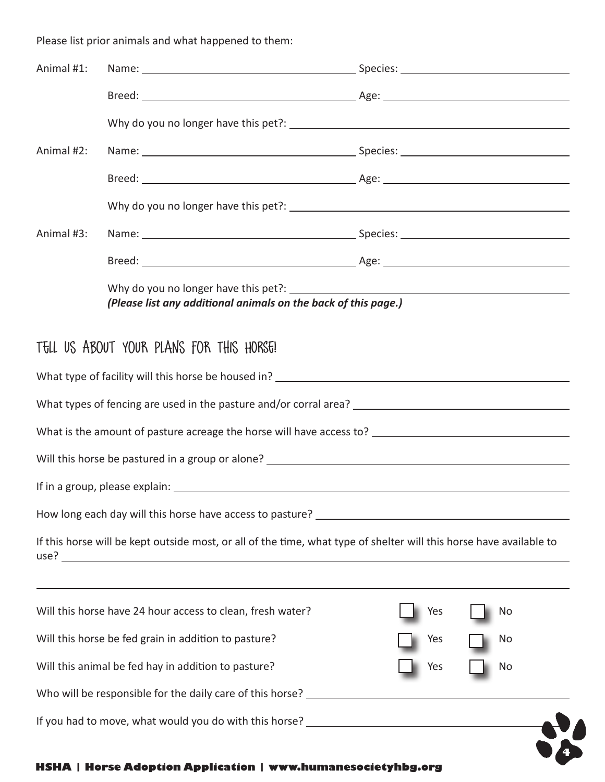Please list prior animals and what happened to them:

| Animal #1: |                                                                                                                     |                                                                |    |  |  |  |
|------------|---------------------------------------------------------------------------------------------------------------------|----------------------------------------------------------------|----|--|--|--|
|            |                                                                                                                     |                                                                |    |  |  |  |
|            |                                                                                                                     |                                                                |    |  |  |  |
| Animal #2: |                                                                                                                     |                                                                |    |  |  |  |
|            |                                                                                                                     |                                                                |    |  |  |  |
|            |                                                                                                                     |                                                                |    |  |  |  |
| Animal #3: |                                                                                                                     |                                                                |    |  |  |  |
|            |                                                                                                                     |                                                                |    |  |  |  |
|            |                                                                                                                     | (Please list any additional animals on the back of this page.) |    |  |  |  |
|            | TELL US ABOUT YOUR PLANS FOR THIS HORSE!                                                                            |                                                                |    |  |  |  |
|            |                                                                                                                     |                                                                |    |  |  |  |
|            |                                                                                                                     |                                                                |    |  |  |  |
|            |                                                                                                                     |                                                                |    |  |  |  |
|            |                                                                                                                     |                                                                |    |  |  |  |
|            |                                                                                                                     |                                                                |    |  |  |  |
|            |                                                                                                                     |                                                                |    |  |  |  |
|            | If this horse will be kept outside most, or all of the time, what type of shelter will this horse have available to |                                                                |    |  |  |  |
|            | Will this horse have 24 hour access to clean, fresh water?                                                          | Yes                                                            | No |  |  |  |
|            | Will this horse be fed grain in addition to pasture?                                                                | Yes                                                            | No |  |  |  |
|            | Will this animal be fed hay in addition to pasture?                                                                 | Yes                                                            | No |  |  |  |
|            |                                                                                                                     |                                                                |    |  |  |  |
|            |                                                                                                                     |                                                                |    |  |  |  |
|            |                                                                                                                     |                                                                |    |  |  |  |

#### **HSHA | Horse Adoption Application | www.humanesocietyhbg.org**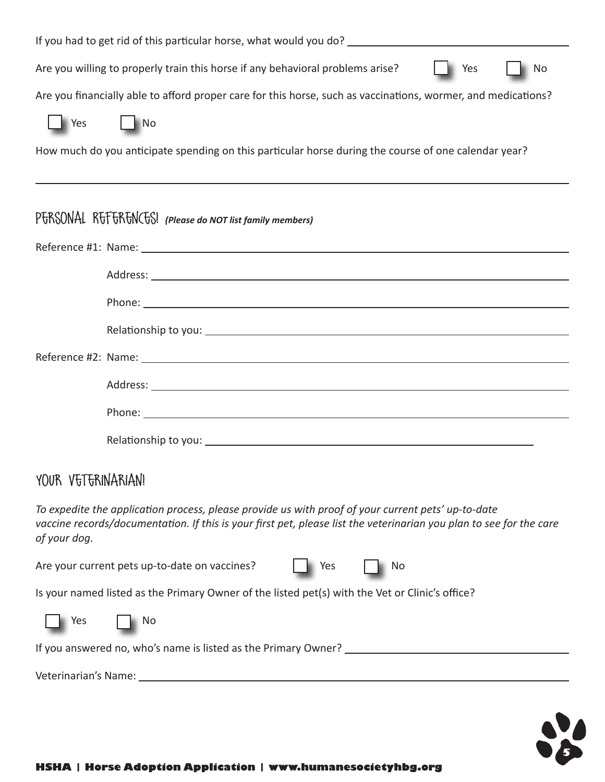| Are you willing to properly train this horse if any behavioral problems arise?<br>Yes<br>No                   |
|---------------------------------------------------------------------------------------------------------------|
| Are you financially able to afford proper care for this horse, such as vaccinations, wormer, and medications? |
| Yes<br>$\blacksquare$ No                                                                                      |
| How much do you anticipate spending on this particular horse during the course of one calendar year?          |
|                                                                                                               |
|                                                                                                               |
| PTRSONAL RTTTRTNCTS! (Please do NOT list family members)                                                      |
|                                                                                                               |
|                                                                                                               |
|                                                                                                               |
|                                                                                                               |
|                                                                                                               |
|                                                                                                               |

Phone: The contract of the contract of the contract of the contract of the contract of the contract of the contract of the contract of the contract of the contract of the contract of the contract of the contract of the con

Relationship to you:

## YOUR VETERINARIAN!

*To expedite the application process, please provide us with proof of your current pets' up-to-date vaccine records/documentation. If this is your first pet, please list the veterinarian you plan to see for the care of your dog.*

| Are your current pets up-to-date on vaccines?                                                   | Yes | No |
|-------------------------------------------------------------------------------------------------|-----|----|
| Is your named listed as the Primary Owner of the listed pet(s) with the Vet or Clinic's office? |     |    |
| <b>No. 1998</b><br>No.                                                                          |     |    |
| If you answered no, who's name is listed as the Primary Owner?                                  |     |    |
|                                                                                                 |     |    |



Veterinarian's Name: